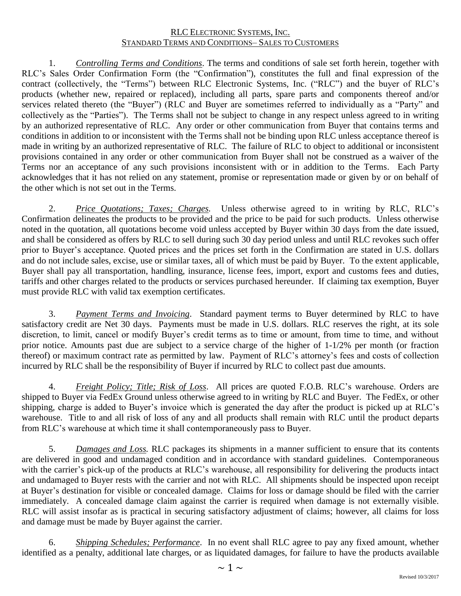1. *Controlling Terms and Conditions*. The terms and conditions of sale set forth herein, together with RLC's Sales Order Confirmation Form (the "Confirmation"), constitutes the full and final expression of the contract (collectively, the "Terms") between RLC Electronic Systems, Inc. ("RLC") and the buyer of RLC's products (whether new, repaired or replaced), including all parts, spare parts and components thereof and/or services related thereto (the "Buyer") (RLC and Buyer are sometimes referred to individually as a "Party" and collectively as the "Parties"). The Terms shall not be subject to change in any respect unless agreed to in writing by an authorized representative of RLC. Any order or other communication from Buyer that contains terms and conditions in addition to or inconsistent with the Terms shall not be binding upon RLC unless acceptance thereof is made in writing by an authorized representative of RLC. The failure of RLC to object to additional or inconsistent provisions contained in any order or other communication from Buyer shall not be construed as a waiver of the Terms nor an acceptance of any such provisions inconsistent with or in addition to the Terms. Each Party acknowledges that it has not relied on any statement, promise or representation made or given by or on behalf of the other which is not set out in the Terms.

2. *Price Quotations; Taxes; Charges.* Unless otherwise agreed to in writing by RLC, RLC's Confirmation delineates the products to be provided and the price to be paid for such products. Unless otherwise noted in the quotation, all quotations become void unless accepted by Buyer within 30 days from the date issued, and shall be considered as offers by RLC to sell during such 30 day period unless and until RLC revokes such offer prior to Buyer's acceptance. Quoted prices and the prices set forth in the Confirmation are stated in U.S. dollars and do not include sales, excise, use or similar taxes, all of which must be paid by Buyer. To the extent applicable, Buyer shall pay all transportation, handling, insurance, license fees, import, export and customs fees and duties, tariffs and other charges related to the products or services purchased hereunder. If claiming tax exemption, Buyer must provide RLC with valid tax exemption certificates.

3. *Payment Terms and Invoicing*. Standard payment terms to Buyer determined by RLC to have satisfactory credit are Net 30 days. Payments must be made in U.S. dollars. RLC reserves the right, at its sole discretion, to limit, cancel or modify Buyer's credit terms as to time or amount, from time to time, and without prior notice. Amounts past due are subject to a service charge of the higher of 1-1/2% per month (or fraction thereof) or maximum contract rate as permitted by law. Payment of RLC's attorney's fees and costs of collection incurred by RLC shall be the responsibility of Buyer if incurred by RLC to collect past due amounts.

4. *Freight Policy; Title; Risk of Loss*. All prices are quoted F.O.B. RLC's warehouse. Orders are shipped to Buyer via FedEx Ground unless otherwise agreed to in writing by RLC and Buyer. The FedEx, or other shipping, charge is added to Buyer's invoice which is generated the day after the product is picked up at RLC's warehouse. Title to and all risk of loss of any and all products shall remain with RLC until the product departs from RLC's warehouse at which time it shall contemporaneously pass to Buyer.

5. *Damages and Loss.* RLC packages its shipments in a manner sufficient to ensure that its contents are delivered in good and undamaged condition and in accordance with standard guidelines. Contemporaneous with the carrier's pick-up of the products at RLC's warehouse, all responsibility for delivering the products intact and undamaged to Buyer rests with the carrier and not with RLC. All shipments should be inspected upon receipt at Buyer's destination for visible or concealed damage. Claims for loss or damage should be filed with the carrier immediately. A concealed damage claim against the carrier is required when damage is not externally visible. RLC will assist insofar as is practical in securing satisfactory adjustment of claims; however, all claims for loss and damage must be made by Buyer against the carrier.

6. *Shipping Schedules; Performance*. In no event shall RLC agree to pay any fixed amount, whether identified as a penalty, additional late charges, or as liquidated damages, for failure to have the products available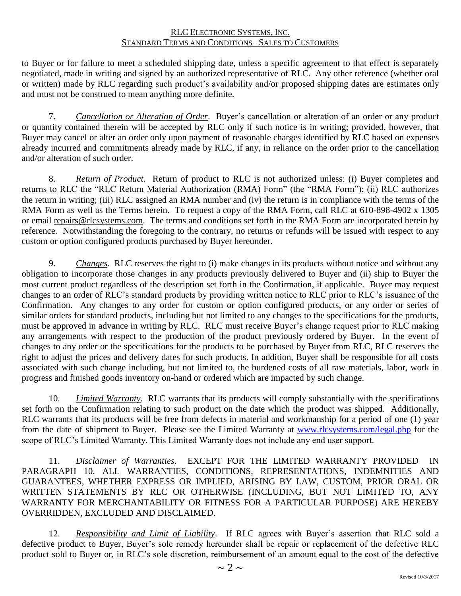to Buyer or for failure to meet a scheduled shipping date, unless a specific agreement to that effect is separately negotiated, made in writing and signed by an authorized representative of RLC. Any other reference (whether oral or written) made by RLC regarding such product's availability and/or proposed shipping dates are estimates only and must not be construed to mean anything more definite.

7. *Cancellation or Alteration of Order*. Buyer's cancellation or alteration of an order or any product or quantity contained therein will be accepted by RLC only if such notice is in writing; provided, however, that Buyer may cancel or alter an order only upon payment of reasonable charges identified by RLC based on expenses already incurred and commitments already made by RLC, if any, in reliance on the order prior to the cancellation and/or alteration of such order.

8. *Return of Product*. Return of product to RLC is not authorized unless: (i) Buyer completes and returns to RLC the "RLC Return Material Authorization (RMA) Form" (the "RMA Form"); (ii) RLC authorizes the return in writing; (iii) RLC assigned an RMA number and (iv) the return is in compliance with the terms of the RMA Form as well as the Terms herein. To request a copy of the RMA Form, call RLC at 610-898-4902 x 1305 or email [repairs@rlcsystems.com.](mailto:repairs@rlcsystems.com) The terms and conditions set forth in the RMA Form are incorporated herein by reference. Notwithstanding the foregoing to the contrary, no returns or refunds will be issued with respect to any custom or option configured products purchased by Buyer hereunder.

9. *Changes*. RLC reserves the right to (i) make changes in its products without notice and without any obligation to incorporate those changes in any products previously delivered to Buyer and (ii) ship to Buyer the most current product regardless of the description set forth in the Confirmation, if applicable. Buyer may request changes to an order of RLC's standard products by providing written notice to RLC prior to RLC's issuance of the Confirmation. Any changes to any order for custom or option configured products, or any order or series of similar orders for standard products, including but not limited to any changes to the specifications for the products, must be approved in advance in writing by RLC. RLC must receive Buyer's change request prior to RLC making any arrangements with respect to the production of the product previously ordered by Buyer. In the event of changes to any order or the specifications for the products to be purchased by Buyer from RLC, RLC reserves the right to adjust the prices and delivery dates for such products. In addition, Buyer shall be responsible for all costs associated with such change including, but not limited to, the burdened costs of all raw materials, labor, work in progress and finished goods inventory on-hand or ordered which are impacted by such change.

10. *Limited Warranty*. RLC warrants that its products will comply substantially with the specifications set forth on the Confirmation relating to such product on the date which the product was shipped. Additionally, RLC warrants that its products will be free from defects in material and workmanship for a period of one (1) year from the date of shipment to Buyer. Please see the Limited Warranty at [www.rlcsystems.com/legal.php](http://www.rlcsystems.com/legal.php) for the scope of RLC's Limited Warranty. This Limited Warranty does not include any end user support.

11. *Disclaimer of Warranties*. EXCEPT FOR THE LIMITED WARRANTY PROVIDED IN PARAGRAPH 10, ALL WARRANTIES, CONDITIONS, REPRESENTATIONS, INDEMNITIES AND GUARANTEES, WHETHER EXPRESS OR IMPLIED, ARISING BY LAW, CUSTOM, PRIOR ORAL OR WRITTEN STATEMENTS BY RLC OR OTHERWISE (INCLUDING, BUT NOT LIMITED TO, ANY WARRANTY FOR MERCHANTABILITY OR FITNESS FOR A PARTICULAR PURPOSE) ARE HEREBY OVERRIDDEN, EXCLUDED AND DISCLAIMED.

12. *Responsibility and Limit of Liability*. If RLC agrees with Buyer's assertion that RLC sold a defective product to Buyer, Buyer's sole remedy hereunder shall be repair or replacement of the defective RLC product sold to Buyer or, in RLC's sole discretion, reimbursement of an amount equal to the cost of the defective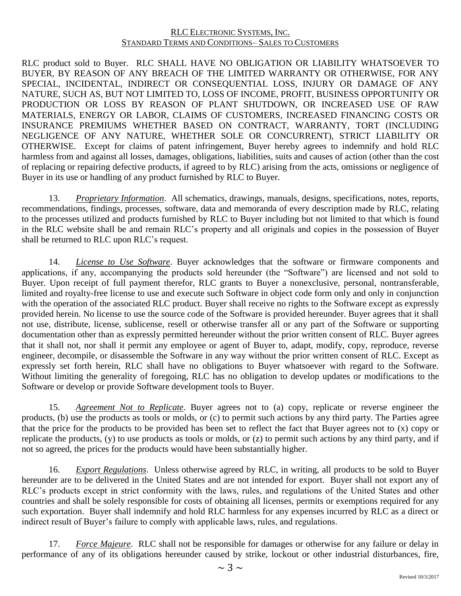RLC product sold to Buyer. RLC SHALL HAVE NO OBLIGATION OR LIABILITY WHATSOEVER TO BUYER, BY REASON OF ANY BREACH OF THE LIMITED WARRANTY OR OTHERWISE, FOR ANY SPECIAL, INCIDENTAL, INDIRECT OR CONSEQUENTIAL LOSS, INJURY OR DAMAGE OF ANY NATURE, SUCH AS, BUT NOT LIMITED TO, LOSS OF INCOME, PROFIT, BUSINESS OPPORTUNITY OR PRODUCTION OR LOSS BY REASON OF PLANT SHUTDOWN, OR INCREASED USE OF RAW MATERIALS, ENERGY OR LABOR, CLAIMS OF CUSTOMERS, INCREASED FINANCING COSTS OR INSURANCE PREMIUMS WHETHER BASED ON CONTRACT, WARRANTY, TORT (INCLUDING NEGLIGENCE OF ANY NATURE, WHETHER SOLE OR CONCURRENT), STRICT LIABILITY OR OTHERWISE. Except for claims of patent infringement, Buyer hereby agrees to indemnify and hold RLC harmless from and against all losses, damages, obligations, liabilities, suits and causes of action (other than the cost of replacing or repairing defective products, if agreed to by RLC) arising from the acts, omissions or negligence of Buyer in its use or handling of any product furnished by RLC to Buyer.

13. *Proprietary Information*. All schematics, drawings, manuals, designs, specifications, notes, reports, recommendations, findings, processes, software, data and memoranda of every description made by RLC, relating to the processes utilized and products furnished by RLC to Buyer including but not limited to that which is found in the RLC website shall be and remain RLC's property and all originals and copies in the possession of Buyer shall be returned to RLC upon RLC's request.

14. *License to Use Software*. Buyer acknowledges that the software or firmware components and applications, if any, accompanying the products sold hereunder (the "Software") are licensed and not sold to Buyer. Upon receipt of full payment therefor, RLC grants to Buyer a nonexclusive, personal, nontransferable, limited and royalty-free license to use and execute such Software in object code form only and only in conjunction with the operation of the associated RLC product. Buyer shall receive no rights to the Software except as expressly provided herein. No license to use the source code of the Software is provided hereunder. Buyer agrees that it shall not use, distribute, license, sublicense, resell or otherwise transfer all or any part of the Software or supporting documentation other than as expressly permitted hereunder without the prior written consent of RLC. Buyer agrees that it shall not, nor shall it permit any employee or agent of Buyer to, adapt, modify, copy, reproduce, reverse engineer, decompile, or disassemble the Software in any way without the prior written consent of RLC. Except as expressly set forth herein, RLC shall have no obligations to Buyer whatsoever with regard to the Software. Without limiting the generality of foregoing, RLC has no obligation to develop updates or modifications to the Software or develop or provide Software development tools to Buyer.

15. *Agreement Not to Replicate*. Buyer agrees not to (a) copy, replicate or reverse engineer the products, (b) use the products as tools or molds, or (c) to permit such actions by any third party. The Parties agree that the price for the products to be provided has been set to reflect the fact that Buyer agrees not to (x) copy or replicate the products, (y) to use products as tools or molds, or (z) to permit such actions by any third party, and if not so agreed, the prices for the products would have been substantially higher.

16. *Export Regulations*. Unless otherwise agreed by RLC, in writing, all products to be sold to Buyer hereunder are to be delivered in the United States and are not intended for export. Buyer shall not export any of RLC's products except in strict conformity with the laws, rules, and regulations of the United States and other countries and shall be solely responsible for costs of obtaining all licenses, permits or exemptions required for any such exportation. Buyer shall indemnify and hold RLC harmless for any expenses incurred by RLC as a direct or indirect result of Buyer's failure to comply with applicable laws, rules, and regulations.

17. *Force Majeure*. RLC shall not be responsible for damages or otherwise for any failure or delay in performance of any of its obligations hereunder caused by strike, lockout or other industrial disturbances, fire,